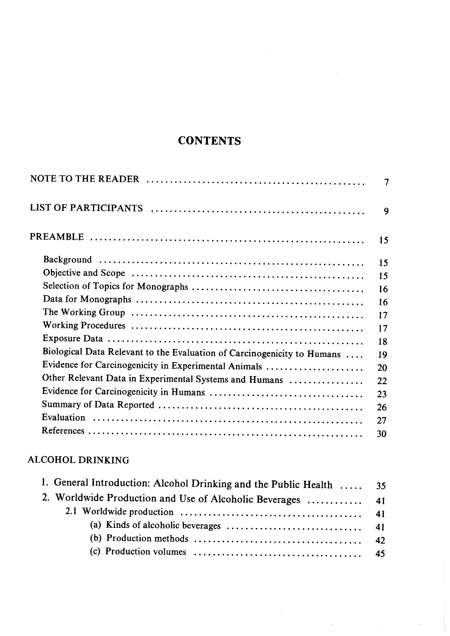# **CONTENTS**

 $\mathcal{L}$ 

|                                                                         | 7  |
|-------------------------------------------------------------------------|----|
| <b>LIST OF PARTICIPANTS</b>                                             | 9  |
|                                                                         | 15 |
|                                                                         | 15 |
|                                                                         | 15 |
|                                                                         | 16 |
|                                                                         | 16 |
|                                                                         | 17 |
|                                                                         | 17 |
|                                                                         | 18 |
| Biological Data Relevant to the Evaluation of Carcinogenicity to Humans | 19 |
| Evidence for Carcinogenicity in Experimental Animals                    | 20 |
| Other Relevant Data in Experimental Systems and Humans                  | 22 |
|                                                                         | 23 |
|                                                                         | 26 |
|                                                                         | 27 |
|                                                                         | 30 |
|                                                                         |    |

## ALCOHOL DRINKING

| 1. General Introduction: Alcohol Drinking and the Public Health  35                         |  |
|---------------------------------------------------------------------------------------------|--|
|                                                                                             |  |
|                                                                                             |  |
| (a) Kinds of alcoholic beverages $\dots \dots \dots \dots \dots \dots \dots \dots \dots$ 41 |  |
|                                                                                             |  |
|                                                                                             |  |

 $\sim$ 

 $\Delta \mathcal{F}^{(1)}$  and  $\mathcal{F}^{(2)}$  .

 $\bar{\mathcal{A}}$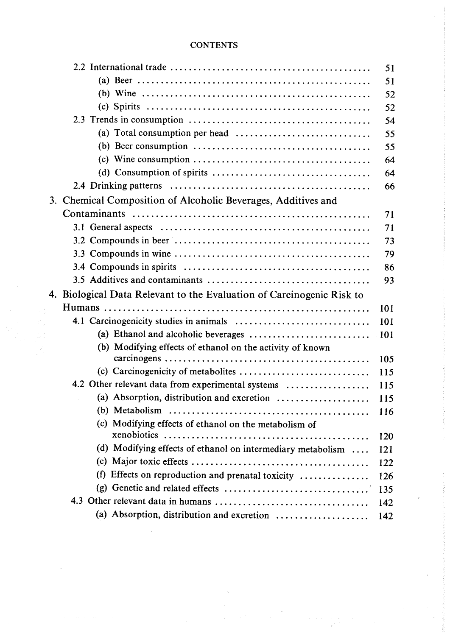### **CONTENTS**

|                                                                                                                 | 51  |
|-----------------------------------------------------------------------------------------------------------------|-----|
|                                                                                                                 | 51  |
|                                                                                                                 | 52  |
|                                                                                                                 | 52  |
|                                                                                                                 | 54  |
|                                                                                                                 | 55  |
|                                                                                                                 | 55  |
| $(c)$ Wine consumption $\dots \dots \dots \dots \dots \dots \dots \dots \dots \dots \dots$                      | 64  |
|                                                                                                                 | 64  |
|                                                                                                                 | 66  |
| 3. Chemical Composition of Alcoholic Beverages, Additives and                                                   |     |
|                                                                                                                 | 71  |
| 3.1 General aspects $\dots \dots \dots \dots \dots \dots \dots \dots \dots \dots \dots \dots \dots \dots \dots$ | 71  |
|                                                                                                                 | 73  |
|                                                                                                                 | 79  |
|                                                                                                                 | 86  |
|                                                                                                                 | 93  |
| 4. Biological Data Relevant to the Evaluation of Carcinogenic Risk to                                           |     |
|                                                                                                                 | 101 |
|                                                                                                                 | 101 |
| (a) Ethanol and alcoholic beverages $\dots\dots\dots\dots\dots\dots\dots\dots\dots\dots$                        | 101 |
| (b) Modifying effects of ethanol on the activity of known                                                       |     |
|                                                                                                                 | 105 |
|                                                                                                                 | 115 |
| 4.2 Other relevant data from experimental systems                                                               | 115 |
| (a) Absorption, distribution and excretion                                                                      | 115 |
|                                                                                                                 | 116 |
| (c) Modifying effects of ethanol on the metabolism of                                                           |     |
|                                                                                                                 | 120 |
| (d) Modifying effects of ethanol on intermediary metabolism                                                     | 121 |
|                                                                                                                 | 122 |
| Effects on reproduction and prenatal toxicity<br>(f)                                                            | 126 |
|                                                                                                                 | 135 |
|                                                                                                                 | 142 |
| (a) Absorption, distribution and excretion                                                                      | 142 |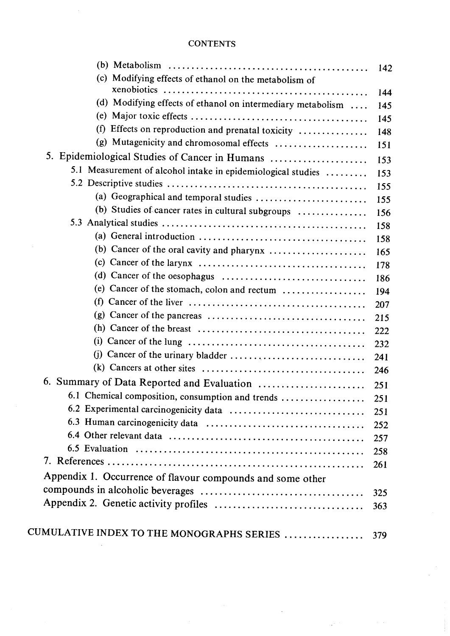#### **CONTENTS**

|                                                                                                         | 142 |
|---------------------------------------------------------------------------------------------------------|-----|
| (c) Modifying effects of ethanol on the metabolism of                                                   |     |
|                                                                                                         | 144 |
| (d) Modifying effects of ethanol on intermediary metabolism                                             | 145 |
|                                                                                                         | 145 |
| (f)<br>Effects on reproduction and prenatal toxicity                                                    | 148 |
| (g) Mutagenicity and chromosomal effects                                                                | 151 |
| 5. Epidemiological Studies of Cancer in Humans                                                          | 153 |
| 5.1 Measurement of alcohol intake in epidemiological studies                                            | 153 |
|                                                                                                         | 155 |
| (a) Geographical and temporal studies                                                                   | 155 |
| (b) Studies of cancer rates in cultural subgroups                                                       | 156 |
|                                                                                                         | 158 |
| (a) General introduction $\ldots \ldots \ldots \ldots \ldots \ldots \ldots \ldots \ldots \ldots \ldots$ | 158 |
|                                                                                                         | 165 |
| (c) Cancer of the larynx $\dots \dots \dots \dots \dots \dots \dots \dots \dots \dots \dots$            | 178 |
|                                                                                                         | 186 |
| (e) Cancer of the stomach, colon and rectum                                                             | 194 |
| (f)                                                                                                     | 207 |
| (g) Cancer of the pancreas $\dots \dots \dots \dots \dots \dots \dots \dots \dots \dots \dots$          | 215 |
| (h) Cancer of the breast $\dots \dots \dots \dots \dots \dots \dots \dots \dots \dots \dots$            | 222 |
|                                                                                                         | 232 |
|                                                                                                         | 241 |
| (k) Cancers at other sites $\dots \dots \dots \dots \dots \dots \dots \dots \dots \dots \dots \dots$    | 246 |
| 6. Summary of Data Reported and Evaluation                                                              | 251 |
| 6.1 Chemical composition, consumption and trends                                                        | 251 |
|                                                                                                         | 251 |
|                                                                                                         | 252 |
|                                                                                                         | 257 |
|                                                                                                         | 258 |
|                                                                                                         | 261 |
| Appendix 1. Occurrence of flavour compounds and some other                                              |     |
|                                                                                                         | 325 |
|                                                                                                         | 363 |
|                                                                                                         |     |
| CUMULATIVE INDEX TO THE MONOGRAPHS SERIES  379                                                          |     |
|                                                                                                         |     |